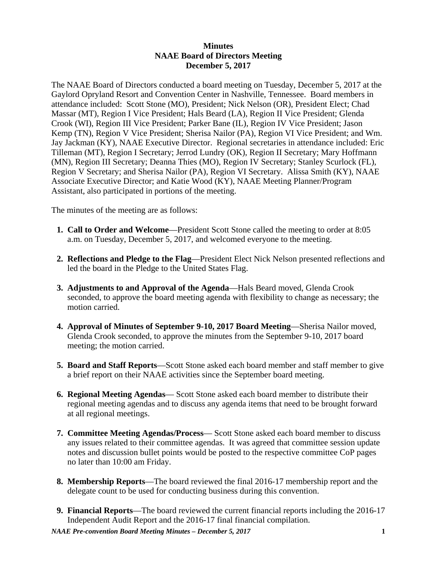## **Minutes NAAE Board of Directors Meeting December 5, 2017**

The NAAE Board of Directors conducted a board meeting on Tuesday, December 5, 2017 at the Gaylord Opryland Resort and Convention Center in Nashville, Tennessee. Board members in attendance included: Scott Stone (MO), President; Nick Nelson (OR), President Elect; Chad Massar (MT), Region I Vice President; Hals Beard (LA), Region II Vice President; Glenda Crook (WI), Region III Vice President; Parker Bane (IL), Region IV Vice President; Jason Kemp (TN), Region V Vice President; Sherisa Nailor (PA), Region VI Vice President; and Wm. Jay Jackman (KY), NAAE Executive Director. Regional secretaries in attendance included: Eric Tilleman (MT), Region I Secretary; Jerrod Lundry (OK), Region II Secretary; Mary Hoffmann (MN), Region III Secretary; Deanna Thies (MO), Region IV Secretary; Stanley Scurlock (FL), Region V Secretary; and Sherisa Nailor (PA), Region VI Secretary. Alissa Smith (KY), NAAE Associate Executive Director; and Katie Wood (KY), NAAE Meeting Planner/Program Assistant, also participated in portions of the meeting.

The minutes of the meeting are as follows:

- **1. Call to Order and Welcome**—President Scott Stone called the meeting to order at 8:05 a.m. on Tuesday, December 5, 2017, and welcomed everyone to the meeting.
- **2. Reflections and Pledge to the Flag**—President Elect Nick Nelson presented reflections and led the board in the Pledge to the United States Flag.
- **3. Adjustments to and Approval of the Agenda**—Hals Beard moved, Glenda Crook seconded, to approve the board meeting agenda with flexibility to change as necessary; the motion carried.
- **4. Approval of Minutes of September 9-10, 2017 Board Meeting**—Sherisa Nailor moved, Glenda Crook seconded, to approve the minutes from the September 9-10, 2017 board meeting; the motion carried.
- **5. Board and Staff Reports**—Scott Stone asked each board member and staff member to give a brief report on their NAAE activities since the September board meeting.
- **6. Regional Meeting Agendas** Scott Stone asked each board member to distribute their regional meeting agendas and to discuss any agenda items that need to be brought forward at all regional meetings.
- **7. Committee Meeting Agendas/Process** Scott Stone asked each board member to discuss any issues related to their committee agendas. It was agreed that committee session update notes and discussion bullet points would be posted to the respective committee CoP pages no later than 10:00 am Friday.
- **8. Membership Reports**—The board reviewed the final 2016-17 membership report and the delegate count to be used for conducting business during this convention.
- **9. Financial Reports**—The board reviewed the current financial reports including the 2016-17 Independent Audit Report and the 2016-17 final financial compilation.

*NAAE Pre-convention Board Meeting Minutes – December 5, 2017* **1**